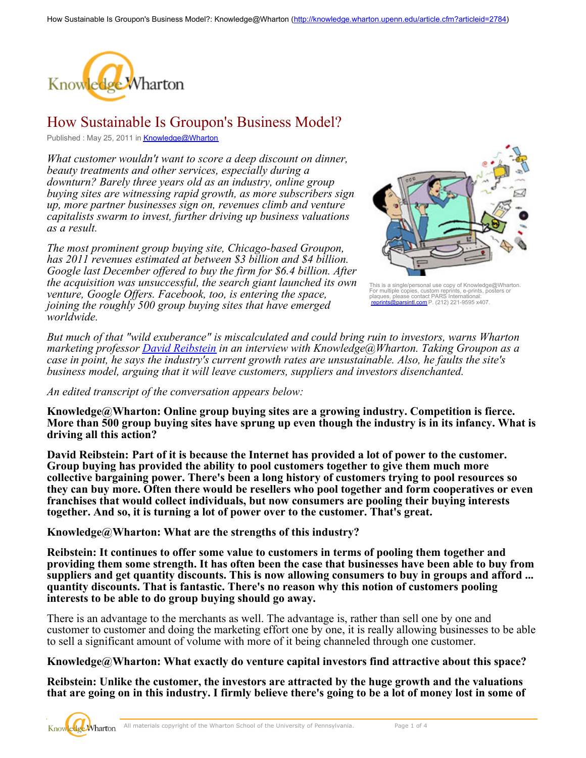

## How Sustainable Is Groupon's Business Model?

Published: May 25, 2011 in **[Knowledge@Wharton](http://knowledge.wharton.upenn.edu/)** 

*What customer wouldn't want to score a deep discount on dinner, beauty treatments and other services, especially during a downturn? Barely three years old as an industry, online group buying sites are witnessing rapid growth, as more subscribers sign up, more partner businesses sign on, revenues climb and venture capitalists swarm to invest, further driving up business valuations as a result.* 

*The most prominent group buying site, Chicago-based Groupon, has 2011 revenues estimated at between \$3 billion and \$4 billion. Google last December offered to buy the firm for \$6.4 billion. After the acquisition was unsuccessful, the search giant launched its own venture, Google Offers. Facebook, too, is entering the space, joining the roughly 500 group buying sites that have emerged worldwide.*



This is a single/personal use copy of Knowledge@Wharton.<br>For multiple copies, custom reprints, e-prints, posters or<br>plaques, please contact PARS International:<br>[reprints@parsintl.com](mailto:reprints@parsintl.com) P. (212) 221-9595 x407.

*But much of that "wild exuberance" is miscalculated and could bring ruin to investors, warns Wharton marketing professor [David Reibstein](http://marketing.wharton.upenn.edu/people/faculty.cfm?id=194) in an interview with Knowledge@Wharton. Taking Groupon as a case in point, he says the industry's current growth rates are unsustainable. Also, he faults the site's business model, arguing that it will leave customers, suppliers and investors disenchanted.*

*An edited transcript of the conversation appears below:*

**Knowledge@Wharton: Online group buying sites are a growing industry. Competition is fierce. More than 500 group buying sites have sprung up even though the industry is in its infancy. What is driving all this action?** 

**David Reibstein: Part of it is because the Internet has provided a lot of power to the customer. Group buying has provided the ability to pool customers together to give them much more collective bargaining power. There's been a long history of customers trying to pool resources so they can buy more. Often there would be resellers who pool together and form cooperatives or even franchises that would collect individuals, but now consumers are pooling their buying interests together. And so, it is turning a lot of power over to the customer. That's great.**

**Knowledge@Wharton: What are the strengths of this industry?**

**Reibstein: It continues to offer some value to customers in terms of pooling them together and providing them some strength. It has often been the case that businesses have been able to buy from suppliers and get quantity discounts. This is now allowing consumers to buy in groups and afford ... quantity discounts. That is fantastic. There's no reason why this notion of customers pooling interests to be able to do group buying should go away.**

There is an advantage to the merchants as well. The advantage is, rather than sell one by one and customer to customer and doing the marketing effort one by one, it is really allowing businesses to be able to sell a significant amount of volume with more of it being channeled through one customer.

## **Knowledge@Wharton: What exactly do venture capital investors find attractive about this space?**

**Reibstein: Unlike the customer, the investors are attracted by the huge growth and the valuations that are going on in this industry. I firmly believe there's going to be a lot of money lost in some of**

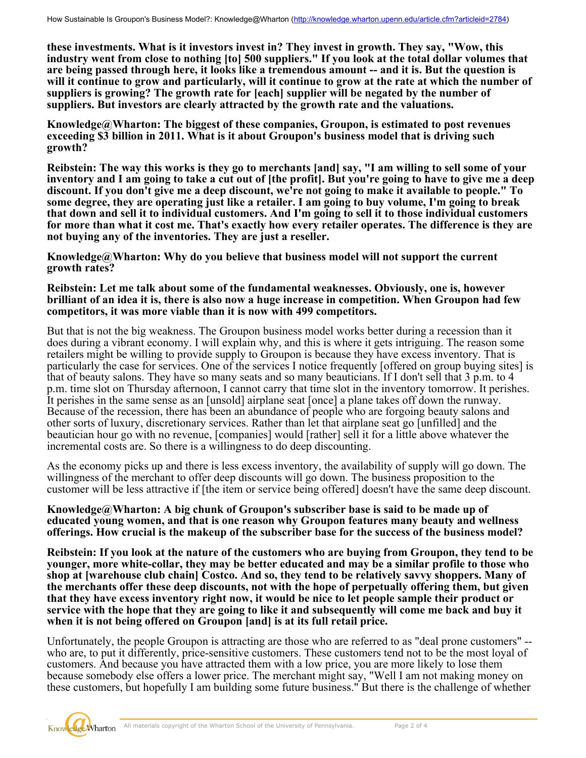**these investments. What is it investors invest in? They invest in growth. They say, "Wow, this industry went from close to nothing [to] 500 suppliers." If you look at the total dollar volumes that are being passed through here, it looks like a tremendous amount -- and it is. But the question is will it continue to grow and particularly, will it continue to grow at the rate at which the number of suppliers is growing? The growth rate for [each] supplier will be negated by the number of suppliers. But investors are clearly attracted by the growth rate and the valuations.**

**Knowledge@Wharton: The biggest of these companies, Groupon, is estimated to post revenues exceeding \$3 billion in 2011. What is it about Groupon's business model that is driving such growth?**

**Reibstein: The way this works is they go to merchants [and] say, "I am willing to sell some of your inventory and I am going to take a cut out of [the profit]. But you're going to have to give me a deep discount. If you don't give me a deep discount, we're not going to make it available to people." To some degree, they are operating just like a retailer. I am going to buy volume, I'm going to break that down and sell it to individual customers. And I'm going to sell it to those individual customers for more than what it cost me. That's exactly how every retailer operates. The difference is they are not buying any of the inventories. They are just a reseller.** 

**Knowledge@Wharton: Why do you believe that business model will not support the current growth rates?**

## **Reibstein: Let me talk about some of the fundamental weaknesses. Obviously, one is, however brilliant of an idea it is, there is also now a huge increase in competition. When Groupon had few competitors, it was more viable than it is now with 499 competitors.**

But that is not the big weakness. The Groupon business model works better during a recession than it does during a vibrant economy. I will explain why, and this is where it gets intriguing. The reason some retailers might be willing to provide supply to Groupon is because they have excess inventory. That is particularly the case for services. One of the services I notice frequently [offered on group buying sites] is that of beauty salons. They have so many seats and so many beauticians. If I don't sell that 3 p.m. to 4 p.m. time slot on Thursday afternoon, I cannot carry that time slot in the inventory tomorrow. It perishes. It perishes in the same sense as an [unsold] airplane seat [once] a plane takes off down the runway. Because of the recession, there has been an abundance of people who are forgoing beauty salons and other sorts of luxury, discretionary services. Rather than let that airplane seat go [unfilled] and the beautician hour go with no revenue, [companies] would [rather] sell it for a little above whatever the incremental costs are. So there is a willingness to do deep discounting.

As the economy picks up and there is less excess inventory, the availability of supply will go down. The willingness of the merchant to offer deep discounts will go down. The business proposition to the customer will be less attractive if [the item or service being offered] doesn't have the same deep discount.

**Knowledge@Wharton: A big chunk of Groupon's subscriber base is said to be made up of educated young women, and that is one reason why Groupon features many beauty and wellness offerings. How crucial is the makeup of the subscriber base for the success of the business model?**

**Reibstein: If you look at the nature of the customers who are buying from Groupon, they tend to be younger, more white-collar, they may be better educated and may be a similar profile to those who shop at [warehouse club chain] Costco. And so, they tend to be relatively savvy shoppers. Many of the merchants offer these deep discounts, not with the hope of perpetually offering them, but given that they have excess inventory right now, it would be nice to let people sample their product or service with the hope that they are going to like it and subsequently will come me back and buy it when it is not being offered on Groupon [and] is at its full retail price.** 

Unfortunately, the people Groupon is attracting are those who are referred to as "deal prone customers" - who are, to put it differently, price-sensitive customers. These customers tend not to be the most loyal of customers. And because you have attracted them with a low price, you are more likely to lose them because somebody else offers a lower price. The merchant might say, "Well I am not making money on these customers, but hopefully I am building some future business." But there is the challenge of whether

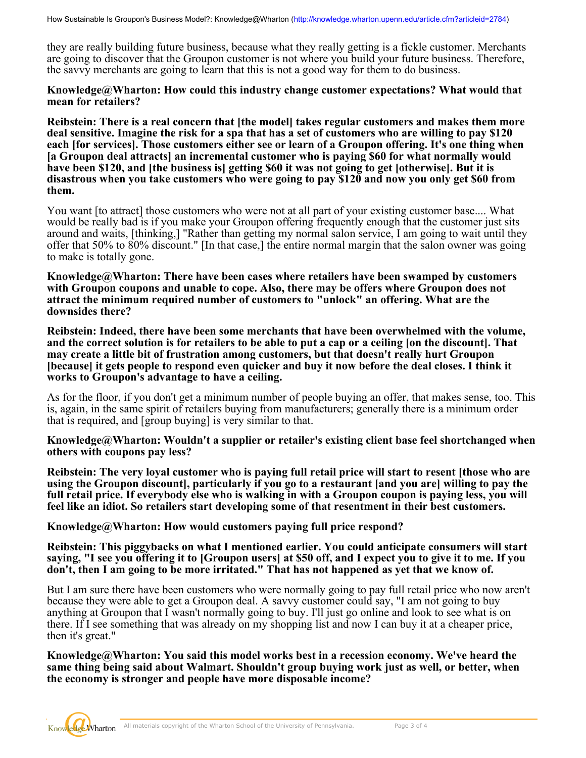they are really building future business, because what they really getting is a fickle customer. Merchants are going to discover that the Groupon customer is not where you build your future business. Therefore, the savvy merchants are going to learn that this is not a good way for them to do business.

## **Knowledge@Wharton: How could this industry change customer expectations? What would that mean for retailers?**

**Reibstein: There is a real concern that [the model] takes regular customers and makes them more deal sensitive. Imagine the risk for a spa that has a set of customers who are willing to pay \$120 each [for services]. Those customers either see or learn of a Groupon offering. It's one thing when [a Groupon deal attracts] an incremental customer who is paying \$60 for what normally would have been \$120, and [the business is] getting \$60 it was not going to get [otherwise]. But it is disastrous when you take customers who were going to pay \$120 and now you only get \$60 from them.** 

You want [to attract] those customers who were not at all part of your existing customer base.... What would be really bad is if you make your Groupon offering frequently enough that the customer just sits around and waits, [thinking,] "Rather than getting my normal salon service, I am going to wait until they offer that 50% to 80% discount." [In that case,] the entire normal margin that the salon owner was going to make is totally gone.

**Knowledge@Wharton: There have been cases where retailers have been swamped by customers with Groupon coupons and unable to cope. Also, there may be offers where Groupon does not attract the minimum required number of customers to "unlock" an offering. What are the downsides there?**

**Reibstein: Indeed, there have been some merchants that have been overwhelmed with the volume, and the correct solution is for retailers to be able to put a cap or a ceiling [on the discount]. That may create a little bit of frustration among customers, but that doesn't really hurt Groupon [because] it gets people to respond even quicker and buy it now before the deal closes. I think it works to Groupon's advantage to have a ceiling.**

As for the floor, if you don't get a minimum number of people buying an offer, that makes sense, too. This is, again, in the same spirit of retailers buying from manufacturers; generally there is a minimum order that is required, and [group buying] is very similar to that.

**Knowledge@Wharton: Wouldn't a supplier or retailer's existing client base feel shortchanged when others with coupons pay less?** 

**Reibstein: The very loyal customer who is paying full retail price will start to resent [those who are using the Groupon discount], particularly if you go to a restaurant [and you are] willing to pay the full retail price. If everybody else who is walking in with a Groupon coupon is paying less, you will feel like an idiot. So retailers start developing some of that resentment in their best customers.**

**Knowledge@Wharton: How would customers paying full price respond?**

**Reibstein: This piggybacks on what I mentioned earlier. You could anticipate consumers will start saying, "I see you offering it to [Groupon users] at \$50 off, and I expect you to give it to me. If you don't, then I am going to be more irritated." That has not happened as yet that we know of.**

But I am sure there have been customers who were normally going to pay full retail price who now aren't because they were able to get a Groupon deal. A savvy customer could say, "I am not going to buy anything at Groupon that I wasn't normally going to buy. I'll just go online and look to see what is on there. If I see something that was already on my shopping list and now I can buy it at a cheaper price, then it's great."

**Knowledge@Wharton: You said this model works best in a recession economy. We've heard the same thing being said about Walmart. Shouldn't group buying work just as well, or better, when the economy is stronger and people have more disposable income?**